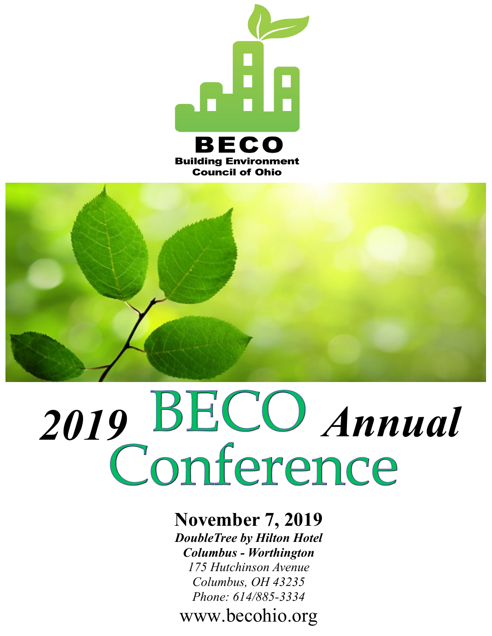



# 2019 **BECO** Annual

### **November 7, 2019** *DoubleTree by Hilton Hotel Columbus - Worthington*

*175 Hutchinson Avenue Columbus, OH 43235 Phone: 614/885-3334*

www.becohio.org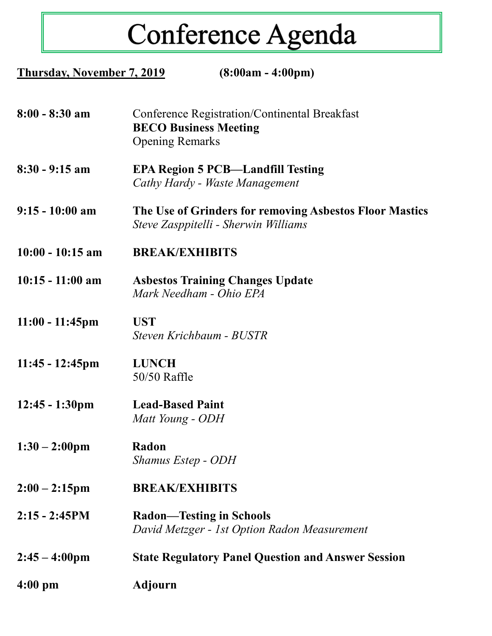# Conference Agenda

| <b>Thursday, November 7, 2019</b> | $(8:00am - 4:00pm)$                                                                                     |  |
|-----------------------------------|---------------------------------------------------------------------------------------------------------|--|
| $8:00 - 8:30$ am                  | Conference Registration/Continental Breakfast<br><b>BECO Business Meeting</b><br><b>Opening Remarks</b> |  |
| $8:30 - 9:15$ am                  | <b>EPA Region 5 PCB—Landfill Testing</b><br>Cathy Hardy - Waste Management                              |  |
| $9:15 - 10:00$ am                 | The Use of Grinders for removing Asbestos Floor Mastics<br>Steve Zasppitelli - Sherwin Williams         |  |
| $10:00 - 10:15$ am                | <b>BREAK/EXHIBITS</b>                                                                                   |  |
| $10:15 - 11:00$ am                | <b>Asbestos Training Changes Update</b><br>Mark Needham - Ohio EPA                                      |  |
| $11:00 - 11:45$ pm                | <b>UST</b><br>Steven Krichbaum - BUSTR                                                                  |  |
| $11:45 - 12:45$ pm                | <b>LUNCH</b><br>50/50 Raffle                                                                            |  |
| $12:45 - 1:30 \text{pm}$          | <b>Lead-Based Paint</b><br>Matt Young - ODH                                                             |  |
| $1:30 - 2:00 \text{pm}$           | Radon<br><b>Shamus Estep - ODH</b>                                                                      |  |
| $2:00 - 2:15$ pm                  | <b>BREAK/EXHIBITS</b>                                                                                   |  |
| $2:15 - 2:45PM$                   | <b>Radon—Testing in Schools</b><br>David Metzger - 1st Option Radon Measurement                         |  |
| $2:45 - 4:00 \text{pm}$           | <b>State Regulatory Panel Question and Answer Session</b>                                               |  |
| $4:00 \text{ pm}$                 | <b>Adjourn</b>                                                                                          |  |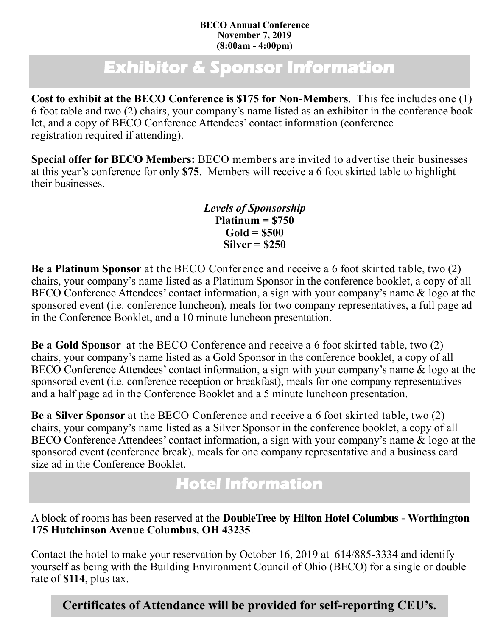### **BECO Annual Conference November 7, 2019 (8:00am - 4:00pm)**

# **Exhibitor & Sponsor Information**

**Cost to exhibit at the BECO Conference is \$175 for Non-Members**. This fee includes one (1) 6 foot table and two (2) chairs, your company's name listed as an exhibitor in the conference booklet, and a copy of BECO Conference Attendees' contact information (conference registration required if attending).

**Special offer for BECO Members:** BECO members are invited to advertise their businesses at this year's conference for only **\$75**. Members will receive a 6 foot skirted table to highlight their businesses.

> *Levels of Sponsorship* **Platinum = \$750 Gold = \$500 Silver = \$250**

**Be a Platinum Sponsor** at the BECO Conference and receive a 6 foot skirted table, two (2) chairs, your company's name listed as a Platinum Sponsor in the conference booklet, a copy of all BECO Conference Attendees' contact information, a sign with your company's name & logo at the sponsored event (i.e. conference luncheon), meals for two company representatives, a full page ad in the Conference Booklet, and a 10 minute luncheon presentation.

**Be a Gold Sponsor** at the BECO Conference and receive a 6 foot skirted table, two (2) chairs, your company's name listed as a Gold Sponsor in the conference booklet, a copy of all BECO Conference Attendees' contact information, a sign with your company's name & logo at the sponsored event (i.e. conference reception or breakfast), meals for one company representatives and a half page ad in the Conference Booklet and a 5 minute luncheon presentation.

**Be a Silver Sponsor** at the BECO Conference and receive a 6 foot skirted table, two (2) chairs, your company's name listed as a Silver Sponsor in the conference booklet, a copy of all BECO Conference Attendees' contact information, a sign with your company's name  $\&$  logo at the sponsored event (conference break), meals for one company representative and a business card size ad in the Conference Booklet.

## **Hotel Information**

A block of rooms has been reserved at the **DoubleTree by Hilton Hotel Columbus - Worthington 175 Hutchinson Avenue Columbus, OH 43235**.

Contact the hotel to make your reservation by October 16, 2019 at 614/885-3334 and identify yourself as being with the Building Environment Council of Ohio (BECO) for a single or double rate of **\$114**, plus tax.

**Certificates of Attendance will be provided for self-reporting CEU's.**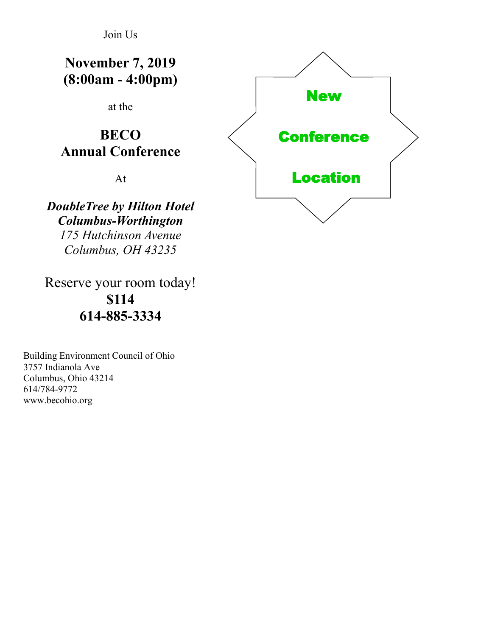Join Us

**November 7, 2019 (8:00am - 4:00pm)**

at the

### **BECO Annual Conference**

At

*DoubleTree by Hilton Hotel Columbus-Worthington 175 Hutchinson Avenue Columbus, OH 43235* 

Reserve your room today! **\$114 614-885-3334**

Building Environment Council of Ohio 3757 Indianola Ave Columbus, Ohio 43214 614/784-9772 www.becohio.org